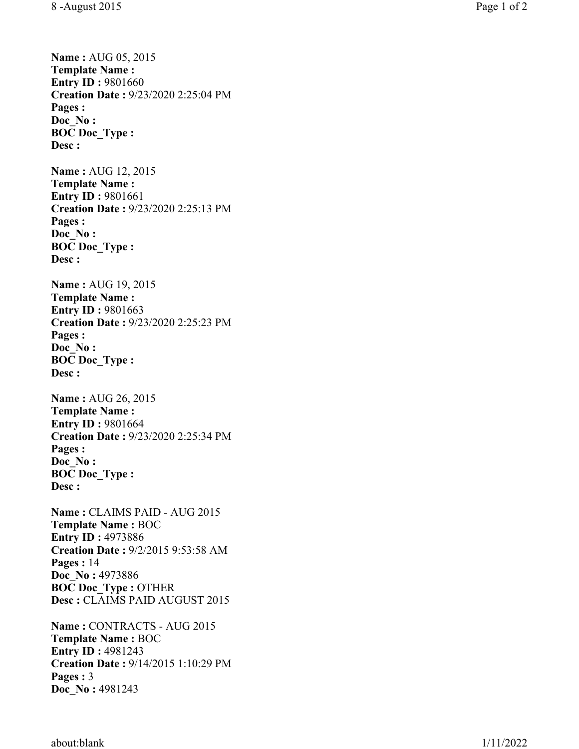**Name :** AUG 05, 2015 **Template Name : Entry ID: 9801660** 

**Creation Date :** 9/23/2020 2:25:04 PM **Pages : Doc\_No : BOC Doc\_Type : Desc : Name :** AUG 12, 2015 **Template Name : Entry ID: 9801661 Creation Date :** 9/23/2020 2:25:13 PM **Pages : Doc\_No : BOC Doc\_Type : Desc : Name :** AUG 19, 2015 **Template Name : Entry ID: 9801663 Creation Date :** 9/23/2020 2:25:23 PM **Pages : Doc\_No : BOC Doc\_Type : Desc : Name :** AUG 26, 2015 **Template Name : Entry ID: 9801664 Creation Date :** 9/23/2020 2:25:34 PM **Pages : Doc\_No : BOC Doc\_Type : Desc : Name :** CLAIMS PAID - AUG 2015 **Template Name :** BOC **Entry ID :** 4973886 **Creation Date :** 9/2/2015 9:53:58 AM **Pages :** 14 **Doc\_No :** 4973886 **BOC Doc\_Type :** OTHER **Desc :** CLAIMS PAID AUGUST 2015 **Name :** CONTRACTS - AUG 2015 **Template Name :** BOC **Entry ID :** 4981243 **Creation Date :** 9/14/2015 1:10:29 PM **Pages :**  3 **Doc\_No :** 4981243